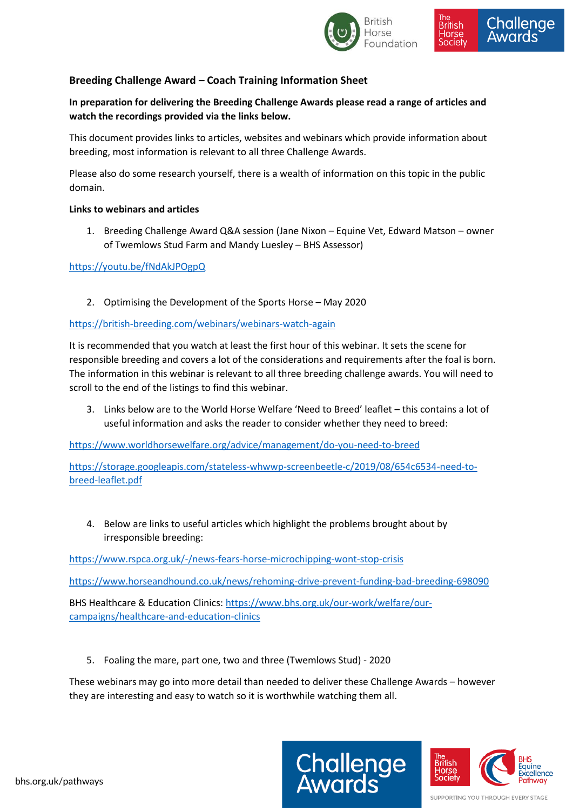

## **Breeding Challenge Award – Coach Training Information Sheet**

**In preparation for delivering the Breeding Challenge Awards please read a range of articles and watch the recordings provided via the links below.** 

This document provides links to articles, websites and webinars which provide information about breeding, most information is relevant to all three Challenge Awards.

Please also do some research yourself, there is a wealth of information on this topic in the public domain.

## **Links to webinars and articles**

1. Breeding Challenge Award Q&A session (Jane Nixon – Equine Vet, Edward Matson – owner of Twemlows Stud Farm and Mandy Luesley – BHS Assessor)

## <https://youtu.be/fNdAkJPOgpQ>

2. Optimising the Development of the Sports Horse – May 2020

## <https://british-breeding.com/webinars/webinars-watch-again>

It is recommended that you watch at least the first hour of this webinar. It sets the scene for responsible breeding and covers a lot of the considerations and requirements after the foal is born. The information in this webinar is relevant to all three breeding challenge awards. You will need to scroll to the end of the listings to find this webinar.

3. Links below are to the World Horse Welfare 'Need to Breed' leaflet – this contains a lot of useful information and asks the reader to consider whether they need to breed:

<https://www.worldhorsewelfare.org/advice/management/do-you-need-to-breed>

[https://storage.googleapis.com/stateless-whwwp-screenbeetle-c/2019/08/654c6534-need-to](https://storage.googleapis.com/stateless-whwwp-screenbeetle-c/2019/08/654c6534-need-to-breed-leaflet.pdf)[breed-leaflet.pdf](https://storage.googleapis.com/stateless-whwwp-screenbeetle-c/2019/08/654c6534-need-to-breed-leaflet.pdf)

4. Below are links to useful articles which highlight the problems brought about by irresponsible breeding:

<https://www.rspca.org.uk/-/news-fears-horse-microchipping-wont-stop-crisis>

<https://www.horseandhound.co.uk/news/rehoming-drive-prevent-funding-bad-breeding-698090>

BHS Healthcare & Education Clinics: [https://www.bhs.org.uk/our-work/welfare/our](https://www.bhs.org.uk/our-work/welfare/our-campaigns/healthcare-and-education-clinics)[campaigns/healthcare-and-education-clinics](https://www.bhs.org.uk/our-work/welfare/our-campaigns/healthcare-and-education-clinics)

5. Foaling the mare, part one, two and three (Twemlows Stud) - 2020

These webinars may go into more detail than needed to deliver these Challenge Awards – however they are interesting and easy to watch so it is worthwhile watching them all.





SUPPORTING YOU THROUGH EVERY STAGE